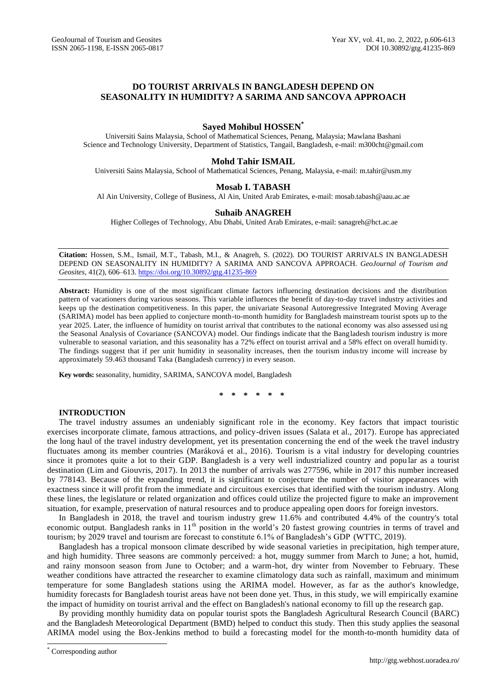# **DO TOURIST ARRIVALS IN BANGLADESH DEPEND ON SEASONALITY IN HUMIDITY? A SARIMA AND SANCOVA APPROACH**

# **Sayed Mohibul HOSSEN\***

Universiti Sains Malaysia, School of Mathematical Sciences, Penang, Malaysia; Mawlana Bashani Science and Technology University, Department of Statistics, Tangail, Bangladesh, e-mail[: m300cht@gmail.com](mailto:m300cht@gmail.com)

# **Mohd Tahir ISMAIL**

Universiti Sains Malaysia, School of Mathematical Sciences, Penang, Malaysia, e-mail[: m.tahir@usm.my](mailto:m.tahir@usm.my)

# **Mosab I. TABASH**

Al Ain University, College of Business, Al Ain, United Arab Emirates, e-mail: mosab.tabash@aau.ac.ae

# **Suhaib ANAGREH**

Higher Colleges of Technology, Abu Dhabi, United Arab Emirates, e-mail: sanagreh@hct.ac.ae

**Citation:** Hossen, S.M., Ismail, M.T., Tabash, M.I., & Anagreh, S. (2022). DO TOURIST ARRIVALS IN BANGLADESH DEPEND ON SEASONALITY IN HUMIDITY? A SARIMA AND SANCOVA APPROACH. *GeoJournal of Tourism and Geosites*, 41(2), 606–613. <https://doi.org/10.30892/gtg.41235-869>

**Abstract:** Humidity is one of the most significant climate factors influencing destination decisions and the distribution pattern of vacationers during various seasons. This variable influences the benefit of day-to-day travel industry activities and keeps up the destination competitiveness. In this paper, the univariate Seasonal Autoregressive Integrated Moving Average (SARIMA) model has been applied to conjecture month-to-month humidity for Bangladesh mainstream tourist spots up to the year 2025. Later, the influence of humidity on tourist arrival that contributes to the national economy was also assessed usi ng the Seasonal Analysis of Covariance (SANCOVA) model. Our findings indicate that the Bangladesh tourism industry is more vulnerable to seasonal variation, and this seasonality has a 72% effect on tourist arrival and a 58% effect on overall humidi ty. The findings suggest that if per unit humidity in seasonality increases, then the tourism industry income will increase by approximately 59.463 thousand Taka (Bangladesh currency) in every season.

**Key words:** seasonality, humidity, SARIMA, SANCOVA model, Bangladesh

**\* \* \* \* \* \***

# **INTRODUCTION**

The travel industry assumes an undeniably significant role in the economy. Key factors that impact touristic exercises incorporate climate, famous attractions, and policy-driven issues (Salata et al., 2017). Europe has appreciated the long haul of the travel industry development, yet its presentation concerning the end of the week t he travel industry fluctuates among its member countries (Maráková et al., 2016). Tourism is a vital industry for developing countries since it promotes quite a lot to their GDP. Bangladesh is a very well industrialized country and popu lar as a tourist destination (Lim and Giouvris, 2017). In 2013 the number of arrivals was 277596, while in 2017 this number increased by 778143. Because of the expanding trend, it is significant to conjecture the number of visitor appearances with exactness since it will profit from the immediate and circuitous exercises that identified with the tourism industry. Along these lines, the legislature or related organization and offices could utilize the projected figure to make an improvement situation, for example, preservation of natural resources and to produce appealing open doors for foreign investors.

In Bangladesh in 2018, the travel and tourism industry grew 11.6% and contributed 4.4% of the country's total economic output. Bangladesh ranks in 11<sup>th</sup> position in the world's 20 fastest growing countries in terms of travel and tourism; by 2029 travel and tourism are forecast to constitute 6.1% of Bangladesh's GDP (WTTC, 2019).

Bangladesh has a tropical monsoon climate described by wide seasonal varieties in precipitation, high temper ature, and high humidity. Three seasons are commonly perceived: a hot, muggy summer from March to June; a hot, humid, and rainy monsoon season from June to October; and a warm-hot, dry winter from November to February. These weather conditions have attracted the researcher to examine climatology data such as rainfall, maximum and minimum temperature for some Bangladesh stations using the ARIMA model. However, as far as the author's knowledge, humidity forecasts for Bangladesh tourist areas have not been done yet. Thus, in this study, we will empirically examine the impact of humidity on tourist arrival and the effect on Bangladesh's national economy to fill up the research gap.

By providing monthly humidity data on popular tourist spots the Bangladesh Agricultural Research Council (BARC) and the Bangladesh Meteorological Department (BMD) helped to conduct this study. Then this study applies the seasonal ARIMA model using the Box-Jenkins method to build a forecasting model for the month-to-month humidity data of

 $\overline{a}$ 

Corresponding author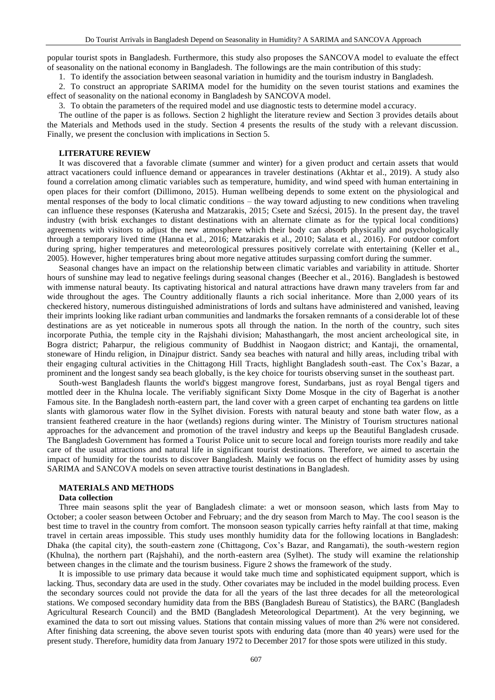popular tourist spots in Bangladesh. Furthermore, this study also proposes the SANCOVA model to evaluate the effect of seasonality on the national economy in Bangladesh. The followings are the main contribution of this study:

1. To identify the association between seasonal variation in humidity and the tourism industry in Bangladesh.

2. To construct an appropriate SARIMA model for the humidity on the seven tourist stations and examines the effect of seasonality on the national economy in Bangladesh by SANCOVA model.

3. To obtain the parameters of the required model and use diagnostic tests to determine model a ccuracy.

The outline of the paper is as follows. Section 2 highlight the literature review and Section 3 provides details about the Materials and Methods used in the study. Section 4 presents the results of the study with a relevant discussion. Finally, we present the conclusion with implications in Section 5.

### **LITERATURE REVIEW**

It was discovered that a favorable climate (summer and winter) for a given product and certain assets that would attract vacationers could influence demand or appearances in traveler destinations (Akhtar et al., 2019). A study also found a correlation among climatic variables such as temperature, humidity, and wind speed with human entertaining in open places for their comfort (Dillimono, 2015). Human wellbeing depends to some extent on the physiological and mental responses of the body to local climatic conditions – the way toward adjusting to new conditions when traveling can influence these responses (Katerusha and Matzarakis, 2015; Csete and Szécsi, 2015). In the present day, the travel industry (with brisk exchanges to distant destinations with an alternate climate as for the typical local conditions) agreements with visitors to adjust the new atmosphere which their body can absorb physically and psychologically through a temporary lived time (Hanna et al., 2016; Matzarakis et al., 2010; Salata et al., 2016). For outdoor comfort during spring, higher temperatures and meteorological pressures positively correlate with entertaining (Keller et al., 2005). However, higher temperatures bring about more negative attitudes surpassing comfort during the summer.

Seasonal changes have an impact on the relationship between climatic variables and variability in attitude. Shorter hours of sunshine may lead to negative feelings during seasonal changes (Beecher et al., 2016). Bangladesh is bestowed with immense natural beauty. Its captivating historical and natural attractions have drawn many travelers from far and wide throughout the ages. The Country additionally flaunts a rich social inheritance. More than 2,000 years of its checkered history, numerous distinguished administrations of lords and sultans have administered and vanished, leaving their imprints looking like radiant urban communities and landmarks the forsaken remnants of a considerable lot of these destinations are as yet noticeable in numerous spots all through the nation. In the north of the country, such sites incorporate Puthia, the temple city in the Rajshahi division; Mahasthangarh, the most ancient archeological site, in Bogra district; Paharpur, the religious community of Buddhist in Naogaon district; and Kantaji, the ornamental, stoneware of Hindu religion, in Dinajpur district. Sandy sea beaches with natural and hilly areas, including tribal with their engaging cultural activities in the Chittagong Hill Tracts, highlight Bangladesh south-east. The Cox's Bazar, a prominent and the longest sandy sea beach globally, is the key choice for tourists observing sunset in the southeast part.

South-west Bangladesh flaunts the world's biggest mangrove forest, Sundarbans, just as [royal Bengal tigers](about:blank) and mottled deer in the Khulna locale. The verifiably significant Sixty Dome Mosque in the city of Bagerhat is a nother Famous site. In the Bangladesh north-eastern part, the land cover with a green carpet of enchanting tea gardens on little slants with glamorous water flow in the Sylhet division. Forests with natural beauty and stone bath water flow, as a transient feathered creature in the haor (wetlands) regions during winter. The Ministry of Tourism structures national approaches for the advancement and promotion of the travel industry and keeps up the Beautiful Bangladesh crusade. The Bangladesh Government has formed a Tourist Police unit to secure local and foreign tourists more readily and take care of the usual attractions and natural life in significant tourist destinations. Therefore, we aimed to ascertain the impact of humidity for the tourists to discover Bangladesh. Mainly we focus on the effect of humidity asses by using SARIMA and SANCOVA models on seven attractive tourist destinations in Bangladesh.

# **MATERIALS AND METHODS**

### **Data collection**

Three main seasons split the year of Bangladesh climate: a wet or monsoon season, which lasts from May to October; a cooler season between October and February; and the dry season from March to May. The cool season is the best time to travel in the country from comfort. The monsoon season typically carries hefty rainfall at that time, making travel in certain areas impossible. This study uses monthly humidity data for the following locations in Bangladesh: Dhaka (the capital city), the south-eastern zone (Chittagong, Cox's Bazar, and Rangamati), the south-western region (Khulna), the northern part (Rajshahi), and the north-eastern area (Sylhet). The study will examine the relationship between changes in the climate and the tourism business. Figure 2 shows the framework of the study.

It is impossible to use primary data because it would take much time and sophisticated equipment support, which is lacking. Thus, secondary data are used in the study. Other covariates may be included in the model building process. Even the secondary sources could not provide the data for all the years of the last three decades for all the meteorological stations. We composed secondary humidity data from the BBS (Bangladesh Bureau of Statistics), the BARC (Bangladesh Agricultural Research Council) and the BMD (Bangladesh Meteorological Department). At the very beginning, we examined the data to sort out missing values. Stations that contain missing values of more than 2% were not considered. After finishing data screening, the above seven tourist spots with enduring data (more than 40 years) were used for the present study. Therefore, humidity data from January 1972 to December 2017 for those spots were utilized in this study.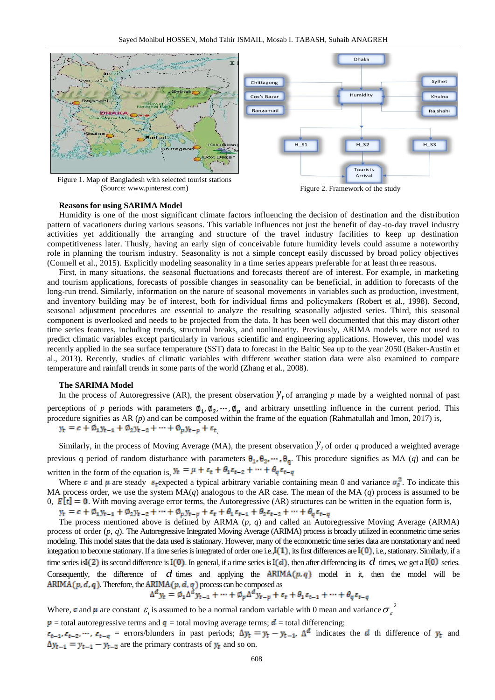

(Source: www.pinterest.com) Figure 2. Framework of the study

### **Reasons for using SARIMA Model**

Humidity is one of the most significant climate factors influencing the decision of destination and the distribution pattern of vacationers during various seasons. This variable influences not just the benefit of day -to-day travel industry activities yet additionally the arranging and structure of the travel industry facilities to keep up destination competitiveness later. Thusly, having an early sign of conceivable future humidity levels could assume a noteworthy role in planning the tourism industry. Seasonality is not a simple concept easily discussed by broad policy objectives (Connell et al., 2015). Explicitly modeling seasonality in a time series appears preferable for at least three reasons.

First, in many situations, the seasonal fluctuations and forecasts thereof are of interest. For example, in marketing and tourism applications, forecasts of possible changes in seasonality can be beneficial, in addition to forecasts of the long-run trend. Similarly, information on the nature of seasonal movements in variables such as production, investment, and inventory building may be of interest, both for individual firms and policymakers (Robert et al., 1998). Second, seasonal adjustment procedures are essential to analyze the resulting seasonally adjusted series. Third, this seasonal component is overlooked and needs to be projected from the data. It has been well documented that this may distort other time series features, including trends, structural breaks, and nonlinearity. Previously, ARIMA models were not used to predict climatic variables except particularly in various scientific and engineering applications. However, this model was recently applied in the sea surface temperature (SST) data to forecast in the Baltic Sea up to the year 2050 (Baker-Austin et al., 2013). Recently, studies of climatic variables with different weather station data were also examined to compare temperature and rainfall trends in some parts of the world (Zhang et al., 2008).

# **The SARIMA Model**

In the process of Autoregressive (AR), the present observation  $y_t$  of arranging p made by a weighted normal of past perceptions of *p* periods with parameters  $\phi_1, \phi_2, \dots, \phi_n$  and arbitrary unsettling influence in the current period. This procedure signifies as AR (*p*) and can be composed within the frame of the equation (Rahmatullah and Imon, 2017) is,  $y_t = c + \emptyset_1 y_{t-1} + \emptyset_2 y_{t-2} + \cdots + \emptyset_p y_{t-p} + \varepsilon_t$ 

Similarly, in the process of Moving Average (MA), the present observation  $y_t$  of order q produced a weighted average previous q period of random disturbance with parameters  $\theta_1, \theta_2, \dots, \theta_q$ . This procedure signifies as MA (q) and can be written in the form of the equation is,  $y_t = \mu + \varepsilon_t + \theta_1 \varepsilon_{t-2} + \cdots + \theta_q \varepsilon_{t-q}$ 

Where c and  $\mu$  are steady  $\epsilon_t$ -expected a typical arbitrary variable containing mean 0 and variance  $\sigma_s^2$ . To indicate this MA process order, we use the system MA(*q*) analogous to the AR case. The mean of the MA (*q*) process is assumed to be 0,  $E[t] = 0$ . With moving average error terms, the Autoregressive (AR) structures can be written in the equation form is,

 $y_t = c + \emptyset_1 y_{t-1} + \emptyset_2 y_{t-2} + \cdots + \emptyset_p y_{t-p} + \varepsilon_t + \theta_1 \varepsilon_{t-1} + \theta_2 \varepsilon_{t-2} + \cdots + \theta_q \varepsilon_{t-q}$ 

The process mentioned above is defined by ARMA (*p*, *q*) and called an Autoregressive Moving Average (ARMA) process of order (*p*, *q*). The Autoregressive Integrated Moving Average (ARIMA) process is broadly utilized in econometric time series modeling. This model states that the data used is stationary. However, many of the econometric time series data are nonstationary and need integration to become stationary. If a time series is integrated of order one i.e.,  $I(1)$ , its first differences are  $I(0)$ , i.e., stationary. Similarly, if a time series is I(2) its second difference is I(0). In general, if a time series is I(d), then after differencing its  $d$  times, we get a I(0) series. Consequently, the difference of  $d$  times and applying the  $ARIMA(p,q)$  model in it, then the model will be  $ARIMA(p, d, q)$ . Therefore, the  $ARIMA(p, d, q)$  process can be composed as

$$
\Delta^a y_t = \emptyset_1 \Delta^a y_{t-1} + \dots + \emptyset_p \Delta^a y_{t-p} + \varepsilon_t + \theta_1 \varepsilon_{t-1} + \dots + \theta_q \varepsilon_{t-q}
$$

Where, c and  $\mu$  are constant  $\varepsilon_t$  is assumed to be a normal random variable with 0 mean and variance  $\sigma_{\varepsilon}^2$ 

 $p =$  total autoregressive terms and  $q =$  total moving average terms;  $d =$  total differencing;

 $\varepsilon_{t-1}, \varepsilon_{t-2}, \dots, \varepsilon_{t-q}$  = errors/blunders in past periods;  $\Delta y_t = y_t - y_{t-1}$ ,  $\Delta^d$  indicates the d th difference of  $y_t$  and  $\Delta y_{t-1} = y_{t-1} - y_{t-2}$  are the primary contrasts of  $y_t$  and so on.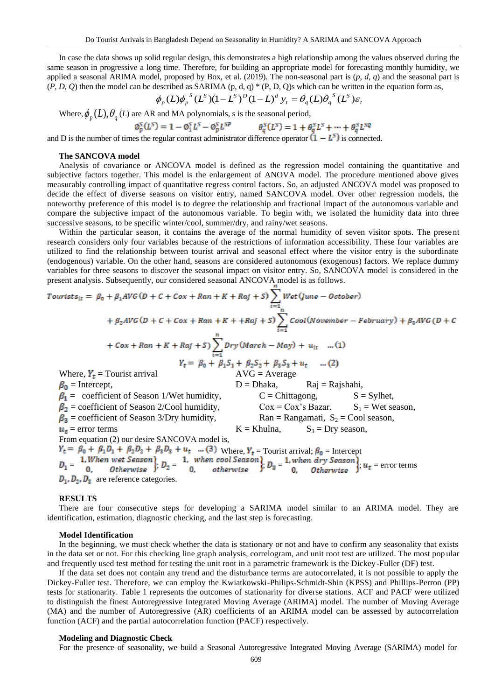In case the data shows up solid regular design, this demonstrates a high relationship among the values observed during the same season in progressive a long time. Therefore, for building an appropriate model for forecasting monthly humidity, we applied a seasonal ARIMA model, proposed by Box, et al. (2019). The non-seasonal part is (*p*, *d*, *q*) and the seasonal part is  $(P, D, Q)$  then the model can be described as SARIMA (p, d, q) \* (P, D, Q)s which can be written in the equation form as,

$$
\phi_p(L)\phi_p^S(L^S)(1-L^S)^D(1-L)^d y_t = \theta_q(L)\theta_q^S(L^S)\varepsilon_t
$$

Where,  $\phi_p(L)$ ,  $\theta_q(L)$  are AR and MA polynomials, s is the seasonal period,

$$
\varphi_p^S(L^S) = 1 - \varphi_1^S L^S - \varphi_p^S L^{SP} \qquad \qquad \theta_q^S(L^S) = 1 + \theta_q^S L^S + \dots + \theta_q^S L^{SQ}
$$

and D is the number of times the regular contrast administrator difference operator  $(1 - L<sup>s</sup>)$  is connected.

#### **The SANCOVA model**

Analysis of covariance or ANCOVA model is defined as the regression model containing the quantitative and subjective factors together. This model is the enlargement of ANOVA model. The procedure mentioned above gives measurably controlling impact of quantitative regress control factors. So, an adjusted ANCOVA model was proposed to decide the effect of diverse seasons on visitor entry, named SANCOVA model. Over other regression models, the noteworthy preference of this model is to degree the relationship and fractional impact of the autonomous variable and compare the subjective impact of the autonomous variable. To begin with, we isolated the humidity data into three successive seasons, to be specific winter/cool, summer/dry, and rainy/wet seasons.

Within the particular season, it contains the average of the normal humidity of seven visitor spots. The present research considers only four variables because of the restrictions of information accessibility. These four variables are utilized to find the relationship between tourist arrival and seasonal effect where the visitor entry is the subordinate (endogenous) variable. On the other hand, seasons are considered autonomous (exogenous) factors. We replace dummy variables for three seasons to discover the seasonal impact on visitor entry. So, SANCOVA model is considered in the present analysis. Subsequently, our considered seasonal ANCOVA model is as follows.

*Tourists*<sub>it</sub> = 
$$
\beta_0 + \beta_1 AVG(D + C + Cox + Ran + K + Raj + S)
$$
  
\n+  $\beta_2 AVG(D + C + Cox + Ran + K + + Raj + S)$   
\n+  $Cox + Ran + K + Raj + S$   
\n+  $Cox + Ran + K + Raj + S$   
\n+  $Cox + Ran + K + Raj + S$   
\n+  $Cox + Ran + K + Raj + S$   
\n+  $Cov + Ran + K + Raj + S$   
\n+  $Cov + Ran + K + Raj + S$   
\n+  $Cov + Ran + K + Raj + S$   
\n+  $Cov + Raj + S$   
\n+  $Cov + Raj + S$   
\n+  $Cov + Raj + S$   
\n+  $Cov + Raj + S$   
\n+  $Cov + Raj + S$   
\n+  $Cov + Raj + S$   
\n+  $Cov + Raj + S$   
\n+  $Cov + Raj + S$   
\n+  $Cov + Raj + S$   
\n+  $Cov + Raj + S$   
\n+  $Cov + Raj + S$   
\n+  $Cov + Raj + S$   
\n+  $Cov + Raj + S$   
\n+  $Cov + Raj + S$   
\n+  $Cov + Raj + S$   
\n+  $Cov + Raj + S$   
\n+  $Cov + Raj + S$   
\n+  $Cov + Raj + S$   
\n+  $Cov + Raj + S$   
\n+  $Cov + Raj + S$   
\n+  $Cov + Raj + S$   
\n+  $Cov + Raj + S$   
\n+  $Cov + Raj + S$   
\n+  $Cov + Raj + S$   
\n+  $Cov + Raj + S$   
\n+  $Cov + Raj + S$   
\n+  $Cov + Raj + S$   
\n+  $Cov + Raj + S$   
\n+  $Cov + Raj + S$   
\n+  $Cov + Saj + S$   
\n+  $Cov + Saj + S$   
\n+  $Cov + Saj + S$   
\n+  $Cov + Saj + S$   
\n+  $Cov + Saj + S$   
\n+  $C$ 

# **RESULTS**

There are four consecutive steps for developing a SARIMA model similar to an ARIMA model. They are identification, estimation, diagnostic checking, and the last step is forecasting.

#### **Model Identification**

In the beginning, we must check whether the data is stationary or not and have to confirm any seasonality that exists in the data set or not. For this checking line graph analysis, correlogram, and unit root test are utilized. The most pop ular and frequently used test method for testing the unit root in a parametric framework is the Dickey-Fuller (DF) test.

If the data set does not contain any trend and the disturbance terms are autocorrelated, it is not possible to apply the Dickey-Fuller test. Therefore, we can employ the Kwiatkowski-Philips-Schmidt-Shin (KPSS) and Phillips-Perron (PP) tests for stationarity. Table 1 represents the outcomes of stationarity for diverse stations. ACF and PACF were utilized to distinguish the finest Autoregressive Integrated Moving Average (ARIMA) model. The number of Moving Average (MA) and the number of Autoregressive (AR) coefficients of an ARIMA model can be assessed by autocorrelation function (ACF) and the partial autocorrelation function (PACF) respectively.

## **Modeling and Diagnostic Check**

For the presence of seasonality, we build a Seasonal Autoregressive Integrated Moving Average (SARIMA) model for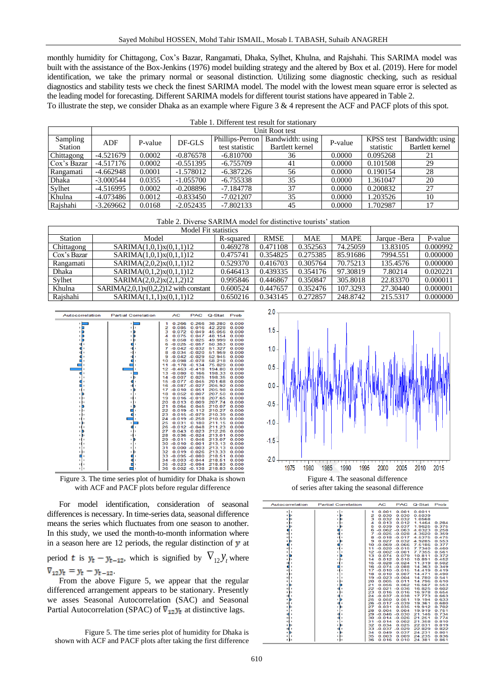monthly humidity for Chittagong, Cox's Bazar, Rangamati, Dhaka, Sylhet, Khulna, and Rajshahi. This SARIMA model was built with the assistance of the Box-Jenkins (1976) model building strategy and the altered by Box et al. (2019). Here for model identification, we take the primary normal or seasonal distinction. Utilizing some diagnostic checking, such as residual diagnostics and stability tests we check the finest SARIMA model. The model with the lowest mean square error is selected as the leading model for forecasting. Different SARIMA models for different tourist stations have appeared in Table 2.

To illustrate the step, we consider Dhaka as an example where Figure 3 & 4 represent the ACF and PACF plots of this spot.

| Table 1. Different test result for stationary |             |         |             |                 |                  |         |                  |                        |  |  |  |
|-----------------------------------------------|-------------|---------|-------------|-----------------|------------------|---------|------------------|------------------------|--|--|--|
| Unit Root test                                |             |         |             |                 |                  |         |                  |                        |  |  |  |
| Sampling                                      | ADF         | P-value | DF-GLS      | Phillips-Perron | Bandwidth: using | P-value | <b>KPSS</b> test | Bandwidth: using       |  |  |  |
| Station                                       |             |         |             | test statistic  | Bartlett kernel  |         | statistic        | <b>Bartlett</b> kernel |  |  |  |
| Chittagong                                    | $-4.521679$ | 0.0002  | $-0.876578$ | $-6.810700$     | 36               | 0.0000  | 0.095268         | 21                     |  |  |  |
| Cox's Bazar                                   | $-4.517176$ | 0.0002  | $-0.551395$ | $-6.755709$     | 41               | 0.0000  | 0.101508         | 29                     |  |  |  |
| Rangamati                                     | $-4.662948$ | 0.0001  | $-1.578012$ | $-6.387226$     | 56               | 0.0000  | 0.190154         | 28                     |  |  |  |
| Dhaka                                         | $-3.000544$ | 0.0355  | $-1.055700$ | $-6.755338$     | 35               | 0.0000  | 1.361047         | 20                     |  |  |  |
| Sylhet                                        | -4.516995   | 0.0002  | $-0.208896$ | $-7.184778$     | 37               | 0.0000  | 0.200832         | 27                     |  |  |  |
| Khulna                                        | -4.073486   | 0.0012  | $-0.833450$ | $-7.021207$     | 35               | 0.0000  | 1.203526         | 10                     |  |  |  |
| Rajshahi                                      | $-3.269662$ | 0.0168  | $-2.052435$ | $-7.802133$     | 45               | 0.0000  | 1.702987         | 17                     |  |  |  |

| <b>Station</b> | Model                                   | R-squared | <b>RMSE</b> | <b>MAE</b> | <b>MAPE</b> | Jarque - Bera | P-value  |
|----------------|-----------------------------------------|-----------|-------------|------------|-------------|---------------|----------|
| Chittagong     | SARIMA(1,0,1)x(0,1,1)12                 | 0.469278  | 0.471108    | 0.352563   | 74.25059    | 13.83105      | 0.000992 |
| Cox's Bazar    | SARIMA(1,0,1)x(0,1,1)12                 | 0.475741  | 0.354825    | 0.275385   | 85.91686    | 7994.551      | 0.000000 |
| Rangamati      | SARIMA(2,0,2)x(0,1,1)12                 | 0.529370  | 0.416703    | 0.305764   | 70.75213    | 135.4576      | 0.000000 |
| Dhaka          | SARIMA(0,1,2)x(0,1,1)12                 | 0.646413  | 0.439335    | 0.354176   | 97.30819    | 7.80214       | 0.020221 |
| Sylhet         | SARIMA(2,0,2)x(2,1,2)12                 | 0.995846  | 0.446867    | 0.350847   | 305.8018    | 22.83370      | 0.000011 |
| Khulna         | $SARIMA(2,0,1)x(0,2,2)12$ with constant | 0.600524  | 0.447657    | 0.352476   | 107.3293    | 27.30440      | 0.000001 |
| Raishahi       | SARIMA(1,1,1)x(0,1,1)12                 | 0.650216  | 0.343145    | 0.272857   | 248.8742    | 215.5317      | 0.000000 |



Figure 3. The time series plot of humidity for Dhaka is shown with ACF and PACF plots before regular difference

For model identification, consideration of seasonal differences is necessary. In time-series data, seasonal difference means the series which fluctuates from one season to another. In this study, we used the month-to-month information where in a season here are 12 periods, the regular distinction of  $\bf{y}$  at period t is  $y_t - y_{t-12}$ , which is signified by  $\nabla_{12} y_t$  where  $\nabla_{12} y_t = y_t - y_{t-12}$ 

From the above Figure 5, we appear that the regular differenced arrangement appears to be stationary. Presently we asses Seasonal Autocorrelation (SAC) and Seasonal Partial Autocorrelation (SPAC) of  $\nabla_{12} y_t$  at distinctive lags.

Figure 5. The time series plot of humidity for Dhaka is shown with ACF and PACF plots after taking the first difference





| Autocorrelation | <b>Partial Correlation</b> |    | <b>AC</b>            | <b>PAC</b> | Q-Stat | Prob  |
|-----------------|----------------------------|----|----------------------|------------|--------|-------|
|                 |                            | 1  | 0.001                | 0.001      | 0.0011 |       |
|                 |                            | 2  | 0.030                | 0.030      | 0.5039 |       |
|                 |                            | з  | 0.032                | 0.032      | 1.0568 |       |
|                 |                            | 4  | 0.013                | 0.012      | 1.1464 | 0.284 |
|                 |                            | 5  | 0.039                | 0.037      | 1.9625 | 0.375 |
|                 |                            | Б  | $-0.062 - 0.063$     |            | 4.0323 | 0.258 |
|                 |                            | 7  | $-0.025 - 0.028$     |            | 4.3620 | 0.359 |
|                 |                            | 8  | $-0.018 - 0.017$     |            | 4.5375 | 0.475 |
|                 |                            | 9  | 0.027                | 0.032      | 4.9285 | 0.553 |
|                 |                            | 10 | $-0.069 - 0.066$     |            | 7.5186 | 0.377 |
|                 |                            | 11 | $-0.020 - 0.015$     |            | 7.7340 | 0.460 |
|                 |                            |    | $12 - 0.002 - 0.001$ |            | 7.7355 | 0.561 |
|                 |                            | 13 | 0.074                | 0.079      | 10.811 | 0.372 |
|                 |                            | 14 | 0.012                | 0.010      | 10.891 | 0.452 |
|                 |                            |    | $15 - 0.028 - 0.024$ |            | 11.319 | 0.502 |
|                 |                            |    | 16 -0.074 -0.088     |            | 14.363 | 0.349 |
|                 |                            |    | $17 - 0.010 - 0.015$ |            | 14.419 | 0.419 |
|                 |                            | 18 | 0.010                | 0.007      | 14.471 | 0.490 |
|                 |                            | 19 | $-0.023$             | $-0.004$   | 14.780 | 0.541 |
|                 |                            | 20 | 0.005                | 0.011      | 14.796 | 0.610 |
|                 |                            | 21 | 0.056                | 0.062      | 16.567 | 0.553 |
|                 |                            |    | 22 -0.021 -0.036     |            | 16.825 | 0.602 |
|                 |                            | 23 | 0.016                | 0.016      | 16.978 | 0.654 |
|                 |                            |    | 24 -0.037 -0.038     |            | 17.773 | 0.663 |
|                 |                            | 25 | 0.050                | 0.051      | 19.194 | 0.633 |
|                 |                            |    | 26 -0.017 -0.039     |            | 19.361 | 0.680 |
|                 |                            | 27 | 0.031                | 0.035      | 19.912 | 0.702 |
|                 |                            | 28 | 0.004                | 0.004      | 19.919 | 0.751 |
|                 |                            |    | 29 -0.046 -0.030     |            | 21.146 | 0.734 |
|                 |                            | 30 | $-0.014 - 0.026$     |            | 21.251 | 0.774 |
|                 |                            | 31 | $-0.014$             | 0.002      | 21.358 | 0.810 |
|                 |                            | 32 | 0.034                | 0.025      | 22.031 | 0.819 |
|                 |                            | 33 | $-0.037$             | $-0.029$   | 22.829 | 0.822 |
|                 |                            | 34 | 0.049                | 0.037      | 24.231 | 0.801 |
|                 |                            | 35 | 0.003                | 0.009      | 24.235 | 0.836 |
|                 |                            | 36 | 0.016                | 0.010      | 24.381 | 0.861 |
|                 |                            |    |                      |            |        |       |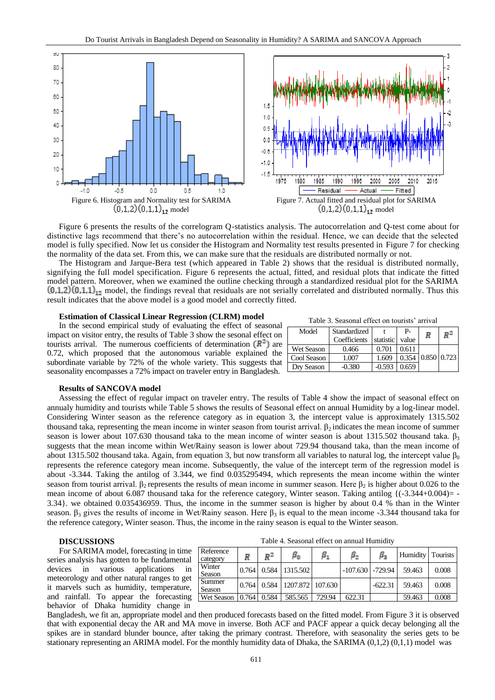

Figure 6 presents the results of the correlogram Q-statistics analysis. The autocorrelation and Q-test come about for distinctive lags recommend that there's no autocorrelation within the residual. Hence, we can decide that the selected model is fully specified. Now let us consider the Histogram and Normality test results presented in Figure 7 for checking the normality of the data set. From this, we can make sure that the residuals are distributed normally or not.

The Histogram and Jarque-Bera test (which appeared in Table 2) shows that the residual is distributed normally, signifying the full model specification. Figure 6 represents the actual, fitted, and residual plots that indicate the fitted model pattern. Moreover, when we examined the outline checking through a standardized residual plot for the SARIMA  $(0,1,2)(0,1,1)_{12}$  model, the findings reveal that residuals are not serially correlated and distributed normally. Thus this result indicates that the above model is a good model and correctly fitted.

#### **Estimation of Classical Linear Regression (CLRM) model**

In the second empirical study of evaluating the effect of seasonal impact on visitor entry, the results of Table 3 show the sesonal effect on tourists arrival. The numerous coefficients of determination  $(R^2)$  are 0.72, which proposed that the autonomous variable explained the subordinate variable by 72% of the whole variety. This suggests that seasonality encompasses a 72% impact on traveler entry in Bangladesh.

|  |  |  | Table 3. Seasonal effect on tourists' arrival |  |
|--|--|--|-----------------------------------------------|--|
|--|--|--|-----------------------------------------------|--|

| Model       | Standardized |           | P-    | R           | ₽2 |
|-------------|--------------|-----------|-------|-------------|----|
|             | Coefficients | statistic | value |             |    |
| Wet Season  | 0.466        | 0.701     | 0.611 |             |    |
| Cool Season | 1.007        | 1.609     | 0.354 | 0.85010.723 |    |
| Dry Season  | $-0.380$     | $-0.593$  | 0.659 |             |    |

#### **Results of SANCOVA model**

Assessing the effect of regular impact on traveler entry. The results of Table 4 show the impact of seasonal effect on annualy humidity and tourists while Table 5 shows the results of Seasonal effect on annual Humidity by a log-linear model. Considering Winter season as the reference category as in equation 3, the intercept value is approximately 1315.502 thousand taka, representing the mean income in winter season from tourist arrival.  $\beta_2$  indicates the mean income of summer season is lower about 107.630 thousand taka to the mean income of winter season is about 1315.502 thousand taka.  $\beta_3$ suggests that the mean income within Wet/Rainy season is lower about 729.94 thousand taka, than the mean income of about 1315.502 thousand taka. Again, from equation 3, but now transform all variables to natural log, the intercept value  $\beta_0$ represents the reference category mean income. Subsequently, the value of the intercept term of the regression model is about -3.344. Taking the antilog of 3.344, we find 0.035295494, which represents the mean income within the winter season from tourist arrival.  $\beta_2$  represents the results of mean income in summer season. Here  $\beta_2$  is higher about 0.026 to the mean income of about 6.087 thousand taka for the reference category, Winter season. Taking antilog  $\{(-3.344+0.004) = -$ 3.34}. we obtained 0.035436959. Thus, the income in the summer season is higher by about 0.4 % than in the Winter season. β<sub>3</sub> gives the results of income in Wet/Rainy season. Here β<sub>3</sub> is equal to the mean income -3.344 thousand taka for the reference category, Winter season. Thus, the income in the rainy season is equal to the Winter season.

# **DISCUSSIONS**

For SARIMA model, forecasting in time series analysis has gotten to be fundamental devices in various applications in meteorology and other natural ranges to get it marvels such as humidity, temperature, and rainfall. To appear the forecasting behavior of Dhaka humidity change in

| Table 4. Seasonal effect on annual Humidity |
|---------------------------------------------|
|---------------------------------------------|

| Reference<br>category | R     | $R^2$ | $\beta_{\rm o}$  | $\beta_1$ | $\beta_{2}$          | $\beta_3$ | Humidity   Tourists |       |
|-----------------------|-------|-------|------------------|-----------|----------------------|-----------|---------------------|-------|
| Winter<br>Season      | 0.764 | 0.584 | 1315.502         |           | $-107.630$ $-729.94$ |           | 59.463              | 0.008 |
| Summer<br>Season      | 0.764 | 0.584 | 1207.872 107.630 |           |                      | $-622.31$ | 59.463              | 0.008 |
| <b>Wet Season</b>     | 0.764 | 0.584 | 585.565          | 729.94    | 622.31               |           | 59.463              | 0.008 |

Bangladesh, we fit an, appropriate model and then produced forecasts based on the fitted model. From Figure 3 it is observed that with exponential decay the AR and MA move in inverse. Both ACF and PACF appear a quick decay belonging all the spikes are in standard blunder bounce, after taking the primary contrast. Therefore, with seasonality the series gets to be stationary representing an ARIMA model. For the monthly humidity data of Dhaka, the SARIMA (0,1,2) (0,1,1) model was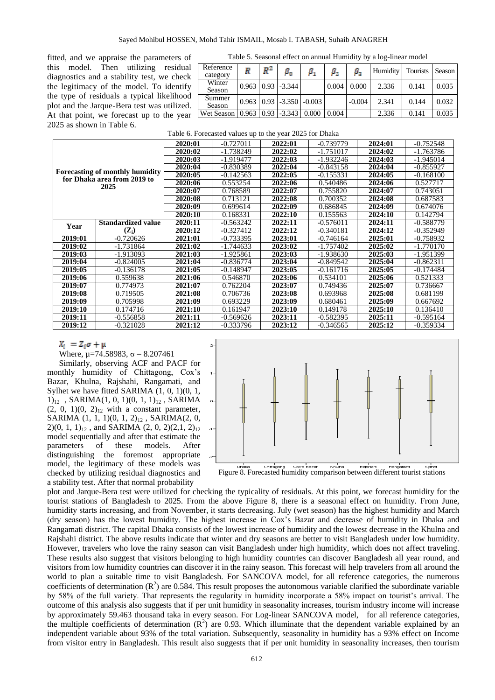fitted, and we appraise the parameters of this model. Then utilizing residual diagnostics and a stability test, we check the legitimacy of the model. To identify the type of residuals a typical likelihood plot and the Jarque-Bera test was utilized. At that point, we forecast up to the year 2025 as shown in Table 6.

| Table 5. Seasonal effect on annual Humidity by a log-linear model |  |  |
|-------------------------------------------------------------------|--|--|
|-------------------------------------------------------------------|--|--|

| Reference<br>category | R | $\mathbb{R}^2$ | $\beta_{\rm 0}$                           |       | $\beta_{2}$ | $\beta_2$ | Humidity   Tourists |       | Season |
|-----------------------|---|----------------|-------------------------------------------|-------|-------------|-----------|---------------------|-------|--------|
| Winter<br>Season      |   |                | $0.963$   $0.93$   $-3.344$               |       | 0.004       | 0.000     | 2.336               | 0.141 | 0.035  |
| Summer<br>Season      |   |                | $0.963 \mid 0.93 \mid -3.350 \mid -0.003$ |       |             | $-0.004$  | 2.341               | 0.144 | 0.032  |
| Wet Season            |   |                | $0.963$   $0.93$   $-3.343$               | 0.000 | 0.004       |           | 2.336               | 0.141 | 0.035  |

|         |                                                                       | 2020:01 | $-0.727011$ | 2022:01 | $-0.739779$ | 2024:01 | $-0.752548$ |
|---------|-----------------------------------------------------------------------|---------|-------------|---------|-------------|---------|-------------|
|         |                                                                       | 2020:02 | $-1.738249$ | 2022:02 | $-1.751017$ | 2024:02 | -1.763786   |
|         |                                                                       | 2020:03 | -1.919477   | 2022:03 | $-1.932246$ | 2024:03 | $-1.945014$ |
|         |                                                                       | 2020:04 | $-0.830389$ | 2022:04 | $-0.843158$ | 2024:04 | -0.855927   |
|         | <b>Forecasting of monthly humidity</b><br>for Dhaka area from 2019 to | 2020:05 | $-0.142563$ | 2022:05 | $-0.155331$ | 2024:05 | $-0.168100$ |
|         | 2025                                                                  | 2020:06 | 0.553254    | 2022:06 | 0.540486    | 2024:06 | 0.527717    |
|         |                                                                       | 2020:07 | 0.768589    | 2022:07 | 0.755820    | 2024:07 | 0.743051    |
|         |                                                                       | 2020:08 | 0.713121    | 2022:08 | 0.700352    | 2024:08 | 0.687583    |
|         |                                                                       | 2020:09 | 0.699614    | 2022:09 | 0.686845    | 2024:09 | 0.674076    |
|         |                                                                       | 2020:10 | 0.168331    | 2022:10 | 0.155563    | 2024:10 | 0.142794    |
| Year    | <b>Standardized value</b>                                             | 2020:11 | $-0.563242$ | 2022:11 | $-0.576011$ | 2024:11 | -0.588779   |
|         | $(\mathbf{Z}_i)$                                                      | 2020:12 | $-0.327412$ | 2022:12 | $-0.340181$ | 2024:12 | $-0.352949$ |
| 2019:01 | $-0.720626$                                                           | 2021:01 | $-0.733395$ | 2023:01 | -0.746164   | 2025:01 | -0.758932   |
| 2019:02 | $-1.731864$                                                           | 2021:02 | -1.744633   | 2023:02 | $-1.757402$ | 2025:02 | -1.770170   |
| 2019:03 | $-1.913093$                                                           | 2021:03 | $-1.925861$ | 2023:03 | $-1.938630$ | 2025:03 | -1.951399   |
| 2019:04 | $-0.824005$                                                           | 2021:04 | $-0.836774$ | 2023:04 | $-0.849542$ | 2025:04 | $-0.862311$ |
| 2019:05 | $-0.136178$                                                           | 2021:05 | $-0.148947$ | 2023:05 | $-0.161716$ | 2025:05 | -0.174484   |
| 2019:06 | 0.559638                                                              | 2021:06 | 0.546870    | 2023:06 | 0.534101    | 2025:06 | 0.521333    |
| 2019:07 | 0.774973                                                              | 2021:07 | 0.762204    | 2023:07 | 0.749436    | 2025:07 | 0.736667    |
| 2019:08 | 0.719505                                                              | 2021:08 | 0.706736    | 2023:08 | 0.693968    | 2025:08 | 0.681199    |
| 2019:09 | 0.705998                                                              | 2021:09 | 0.693229    | 2023:09 | 0.680461    | 2025:09 | 0.667692    |
| 2019:10 | 0.174716                                                              | 2021:10 | 0.161947    | 2023:10 | 0.149178    | 2025:10 | 0.136410    |
| 2019:11 | $-0.556858$                                                           | 2021:11 | $-0.569626$ | 2023:11 | -0.582395   | 2025:11 | -0.595164   |
| 2019:12 | $-0.321028$                                                           | 2021:12 | $-0.333796$ | 2023:12 | -0.346565   | 2025:12 | -0.359334   |

 $X_i = Z_i \sigma + \mu$ 

Where,  $\mu$ =74.58983,  $\sigma$  = 8.207461

Similarly, observing ACF and PACF for monthly humidity of Chittagong, Cox's Bazar, Khulna, Rajshahi, Rangamati, and Sylhet we have fitted SARIMA (1, 0, 1)(0, 1,  $1)_{12}$ , SARIMA $(1, 0, 1)$  $(0, 1, 1)_{12}$ , SARIMA  $(2, 0, 1)(0, 2)<sub>12</sub>$  with a constant parameter, SARIMA  $(1, 1, 1)(0, 1, 2)_{12}$ , SARIMA $(2, 0, 1)$  $2(0, 1, 1)_{12}$ , and SARIMA  $(2, 0, 2)(2, 1, 2)_{12}$ model sequentially and after that estimate the parameters of these models. After distinguishing the foremost appropriate model, the legitimacy of these models was checked by utilizing residual diagnostics and a stability test. After that normal probability





plot and Jarque-Bera test were utilized for checking the typicality of residuals. At this point, we forecast humidity for the tourist stations of Bangladesh to 2025. From the above Figure 8, there is a seasonal effect on humidity. From June, humidity starts increasing, and from November, it starts decreasing. July (wet season) has the highest humidity and March (dry season) has the lowest humidity. The highest increase in Cox's Bazar and decrease of humidity in Dhaka and Rangamati district. The capital Dhaka consists of the lowest increase of humidity and the lowest decrease in the Khulna and Rajshahi district. The above results indicate that winter and dry seasons are better to visit Bangladesh under low humidity. However, travelers who love the rainy season can visit Bangladesh under high humidity, which does not affect traveling. These results also suggest that visitors belonging to high humidity countries can discover Bangladesh all year round, and visitors from low humidity countries can discover it in the rainy season. This forecast will help travelers from all around the world to plan a suitable time to visit Bangladesh. For SANCOVA model, for all reference categories, the numerous coefficients of determination  $(R^2)$  are 0.584. This result proposes the autonomous variable clarified the subordinate variable by 58% of the full variety. That represents the regularity in humidity incorporate a 58% impact on tourist's arrival. The outcome of this analysis also suggests that if per unit humidity in seasonality increases, tourism industry income will increase by approximately 59.463 thousand taka in every season. For Log-linear SANCOVA model, for all reference categories, the multiple coefficients of determination  $(R^2)$  are 0.93. Which illuminate that the dependent variable explained by an independent variable about 93% of the total variation. Subsequently, seasonality in humidity has a 93% effect on Income from visitor entry in Bangladesh. This result also suggests that if per unit humidity in seasonality increases, then tourism